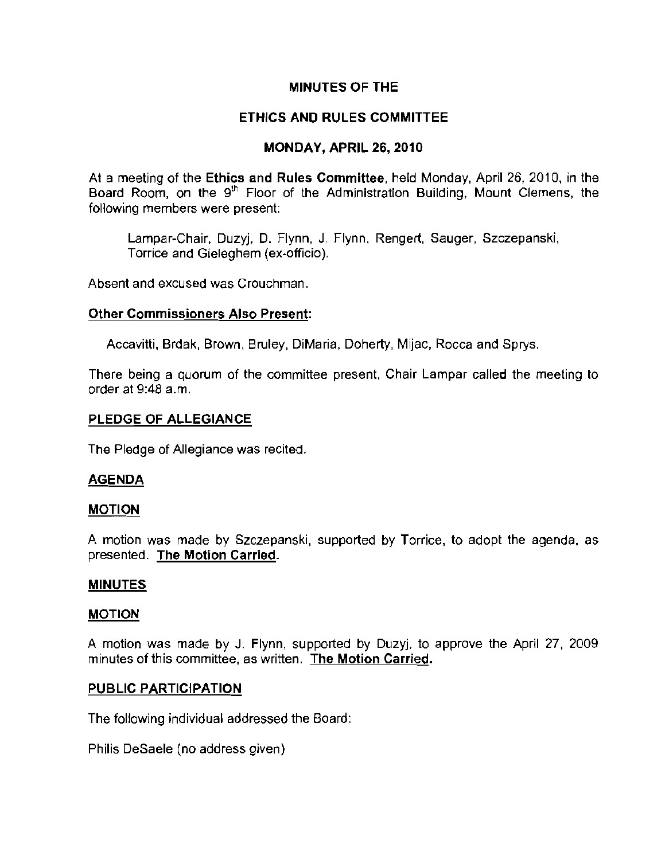### **MINUTES OF THE**

## **ETHICS AND RULES COMMITTEE**

## **MONDAY, APRIL 26, 2010**

At a meeting of the **Ethics and Rules Committee,** held Monday, April 26, 2010, in the Board Room, on the 9<sup>th</sup> Floor of the Administration Building, Mount Clemens, the **following members were present:** 

Lampar-Chair, Duzyj, D. Flynn, J. Flynn, Rengert, Sauger, Szczepanski, Torrice and Gieleghem (ex-officio).

**Absent and excused was Crouchman.** 

### **Other Commissioners Also Present:**

Aeeavitti, Brdak, Brown, Bruley, DiMaria, Doherty, Mijae, Rocca and Sprys.

**There being a quorum of the committee present, Chair Lampar called the meeting to**  order at 9:48 a.m.

#### **PLEDGE OF ALLEGIANCE**

The Pledge of Allegiance was recited.

## **AGENDA**

#### **MOTION**

A motion was made by Szczepanski, supported by Torriee, to adopt the agenda, as presented. **The Motion Carried.** 

#### **MINUTES**

#### **MOTION**

A motion was made by J. Flynn, supported by Duzyj, to approve the April 27, 2009 **minutes of this committee, as written. The Motion Carried.** 

#### **PUBLIC PARTICIPATION**

The following individual addressed the Board:

Philis DeSaele (no address given)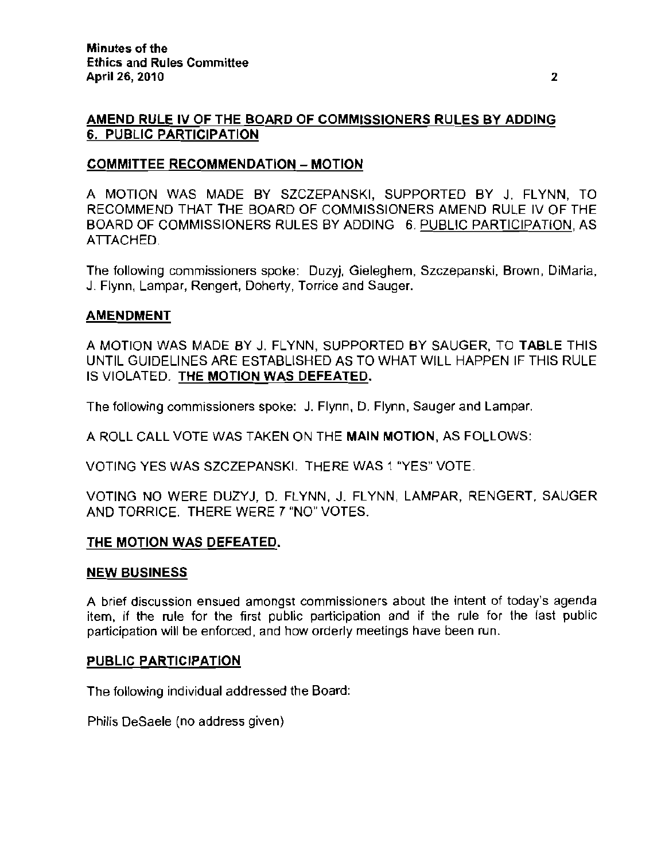## AMEND RULE IV OF THE BOARD OF COMMISSIONERS RULES BY ADDING 6. PUBLIC PARTICIPATION

#### COMMITTEE RECOMMENDATION - MOTION

A MOTION WAS MADE BY SZCZEPANSKI, SUPPORTED BY J. FLYNN, TO RECOMMEND THAT THE BOARD OF COMMISSIONERS AMEND RULE IV OF THE BOARD OF COMMISSIONERS RULES BY ADDING 6. PUBLIC PARTICIPATION, AS ATTACHED.

The following commissioners spoke: Duzyj, Gieleghem, Szczepanski, Brown, DiMaria, J. Flynn, Lampar, Rengert, Doherty. Torrice and Sauger.

### AMENDMENT

A MOTION WAS MADE BY J. FLYNN. SUPPORTED BY SAUGER. TO TABLE THIS UNTIL GUIDELINES ARE ESTABLISHED AS TO WHAT WILL HAPPEN IF THIS RULE IS VIOLATED. THE MOTION WAS DEFEATED.

The following commissioners spoke: J. Flynn, D. Flynn. Sauger and Lampar.

A ROLL CALL VOTE WAS TAKEN ON THE MAIN MOTION, AS FOLLOWS:

VOTING YES WAS SZCZEPANSKI. THERE WAS 1 "YES" VOTE.

VOTING NO WERE DUZYJ, D. FLYNN, J. FLYNN, LAMPAR, RENGERT. SAUGER AND TORRICE. THERE WERE 7 "NO" VOTES.

## THE MOTION WAS DEFEATED.

#### NEW BUSINESS

A brief discussion ensued amongst commissioners about the intent of today's agenda item, if the rule for the first public participation and if the rule for the fast public participation will be enforced, and how orderly meetings have been run.

#### PUBLIC PARTICIPATION

The following individual addressed the Board:

Philis DeSaele (no address given)